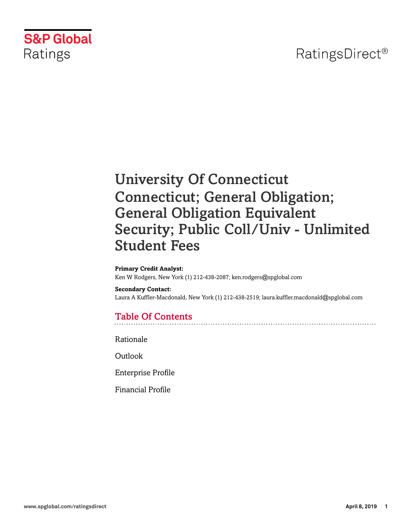## RatingsDirect<sup>®</sup>



# University Of Connecticut Connecticut; General Obligation; General Obligation Equivalent Security; Public Coll/Univ - Unlimited Student Fees

#### **Primary Credit Analyst:**

Ken W Rodgers, New York (1) 212-438-2087; ken.rodgers@spglobal.com

#### **Secondary Contact:**

Laura A Kuffler-Macdonald, New York (1) 212-438-2519; laura.kuffler.macdonald@spglobal.com

## Table Of Contents

[Rationale](#page-1-0)

[Outlook](#page-3-0)

[Enterprise Profile](#page-3-1)

[Financial Profile](#page-6-0)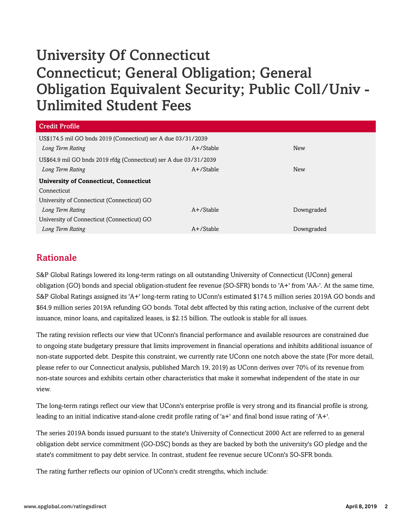# University Of Connecticut Connecticut; General Obligation; General Obligation Equivalent Security; Public Coll/Univ - Unlimited Student Fees

| <b>Credit Profile</b>                                             |              |            |  |  |  |
|-------------------------------------------------------------------|--------------|------------|--|--|--|
| US\$174.5 mil GO bnds 2019 (Connecticut) ser A due 03/31/2039     |              |            |  |  |  |
| Long Term Rating                                                  | $A+$ /Stable | <b>New</b> |  |  |  |
| US\$64.9 mil GO bnds 2019 rfdg (Connecticut) ser A due 03/31/2039 |              |            |  |  |  |
| Long Term Rating                                                  | $A+$ /Stable | <b>New</b> |  |  |  |
| <b>University of Connecticut, Connecticut</b>                     |              |            |  |  |  |
| Connecticut                                                       |              |            |  |  |  |
| University of Connecticut (Connecticut) GO                        |              |            |  |  |  |
| Long Term Rating                                                  | $A+$ /Stable | Downgraded |  |  |  |
| University of Connecticut (Connecticut) GO                        |              |            |  |  |  |
| Long Term Rating                                                  | $A+$ /Stable | Downgraded |  |  |  |

## <span id="page-1-0"></span>Rationale

S&P Global Ratings lowered its long-term ratings on all outstanding University of Connecticut (UConn) general obligation (GO) bonds and special obligation-student fee revenue (SO-SFR) bonds to 'A+' from 'AA-'. At the same time, S&P Global Ratings assigned its 'A+' long-term rating to UConn's estimated \$174.5 million series 2019A GO bonds and \$64.9 million series 2019A refunding GO bonds. Total debt affected by this rating action, inclusive of the current debt issuance, minor loans, and capitalized leases, is \$2.15 billion. The outlook is stable for all issues.

The rating revision reflects our view that UConn's financial performance and available resources are constrained due to ongoing state budgetary pressure that limits improvement in financial operations and inhibits additional issuance of non-state supported debt. Despite this constraint, we currently rate UConn one notch above the state (For more detail, please refer to our Connecticut analysis, published March 19, 2019) as UConn derives over 70% of its revenue from non-state sources and exhibits certain other characteristics that make it somewhat independent of the state in our view.

The long-term ratings reflect our view that UConn's enterprise profile is very strong and its financial profile is strong, leading to an initial indicative stand-alone credit profile rating of 'a+' and final bond issue rating of 'A+'.

The series 2019A bonds issued pursuant to the state's University of Connecticut 2000 Act are referred to as general obligation debt service commitment (GO-DSC) bonds as they are backed by both the university's GO pledge and the state's commitment to pay debt service. In contrast, student fee revenue secure UConn's SO-SFR bonds.

The rating further reflects our opinion of UConn's credit strengths, which include: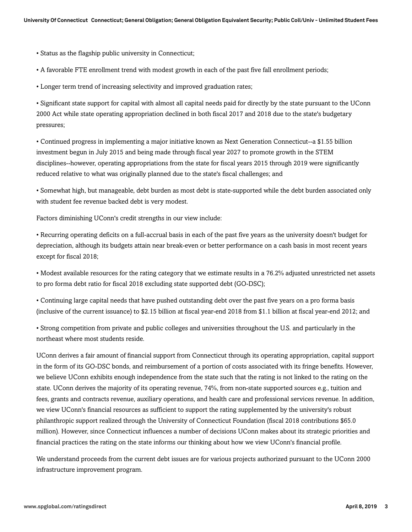• Status as the flagship public university in Connecticut;

• A favorable FTE enrollment trend with modest growth in each of the past five fall enrollment periods;

• Longer term trend of increasing selectivity and improved graduation rates;

• Significant state support for capital with almost all capital needs paid for directly by the state pursuant to the UConn 2000 Act while state operating appropriation declined in both fiscal 2017 and 2018 due to the state's budgetary pressures;

• Continued progress in implementing a major initiative known as Next Generation Connecticut--a \$1.55 billion investment begun in July 2015 and being made through fiscal year 2027 to promote growth in the STEM disciplines--however, operating appropriations from the state for fiscal years 2015 through 2019 were significantly reduced relative to what was originally planned due to the state's fiscal challenges; and

• Somewhat high, but manageable, debt burden as most debt is state-supported while the debt burden associated only with student fee revenue backed debt is very modest.

Factors diminishing UConn's credit strengths in our view include:

• Recurring operating deficits on a full-accrual basis in each of the past five years as the university doesn't budget for depreciation, although its budgets attain near break-even or better performance on a cash basis in most recent years except for fiscal 2018;

• Modest available resources for the rating category that we estimate results in a 76.2% adjusted unrestricted net assets to pro forma debt ratio for fiscal 2018 excluding state supported debt (GO-DSC);

• Continuing large capital needs that have pushed outstanding debt over the past five years on a pro forma basis (inclusive of the current issuance) to \$2.15 billion at fiscal year-end 2018 from \$1.1 billion at fiscal year-end 2012; and

• Strong competition from private and public colleges and universities throughout the U.S. and particularly in the northeast where most students reside.

UConn derives a fair amount of financial support from Connecticut through its operating appropriation, capital support in the form of its GO-DSC bonds, and reimbursement of a portion of costs associated with its fringe benefits. However, we believe UConn exhibits enough independence from the state such that the rating is not linked to the rating on the state. UConn derives the majority of its operating revenue, 74%, from non-state supported sources e.g., tuition and fees, grants and contracts revenue, auxiliary operations, and health care and professional services revenue. In addition, we view UConn's financial resources as sufficient to support the rating supplemented by the university's robust philanthropic support realized through the University of Connecticut Foundation (fiscal 2018 contributions \$65.0 million). However, since Connecticut influences a number of decisions UConn makes about its strategic priorities and financial practices the rating on the state informs our thinking about how we view UConn's financial profile.

We understand proceeds from the current debt issues are for various projects authorized pursuant to the UConn 2000 infrastructure improvement program.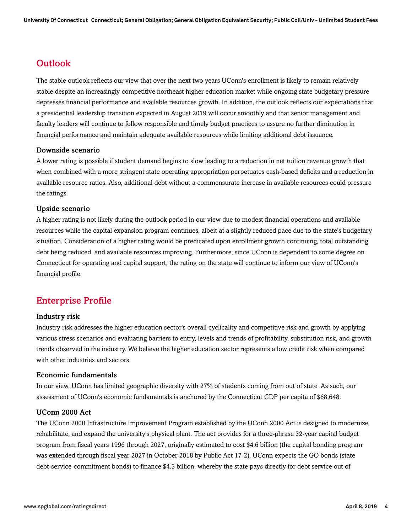## <span id="page-3-0"></span>**Outlook**

The stable outlook reflects our view that over the next two years UConn's enrollment is likely to remain relatively stable despite an increasingly competitive northeast higher education market while ongoing state budgetary pressure depresses financial performance and available resources growth. In addition, the outlook reflects our expectations that a presidential leadership transition expected in August 2019 will occur smoothly and that senior management and faculty leaders will continue to follow responsible and timely budget practices to assure no further diminution in financial performance and maintain adequate available resources while limiting additional debt issuance.

#### Downside scenario

A lower rating is possible if student demand begins to slow leading to a reduction in net tuition revenue growth that when combined with a more stringent state operating appropriation perpetuates cash-based deficits and a reduction in available resource ratios. Also, additional debt without a commensurate increase in available resources could pressure the ratings.

#### Upside scenario

A higher rating is not likely during the outlook period in our view due to modest financial operations and available resources while the capital expansion program continues, albeit at a slightly reduced pace due to the state's budgetary situation. Consideration of a higher rating would be predicated upon enrollment growth continuing, total outstanding debt being reduced, and available resources improving. Furthermore, since UConn is dependent to some degree on Connecticut for operating and capital support, the rating on the state will continue to inform our view of UConn's financial profile.

### <span id="page-3-1"></span>Enterprise Profile

#### Industry risk

Industry risk addresses the higher education sector's overall cyclicality and competitive risk and growth by applying various stress scenarios and evaluating barriers to entry, levels and trends of profitability, substitution risk, and growth trends observed in the industry. We believe the higher education sector represents a low credit risk when compared with other industries and sectors.

#### Economic fundamentals

In our view, UConn has limited geographic diversity with 27% of students coming from out of state. As such, our assessment of UConn's economic fundamentals is anchored by the Connecticut GDP per capita of \$68,648.

#### UConn 2000 Act

The UConn 2000 Infrastructure Improvement Program established by the UConn 2000 Act is designed to modernize, rehabilitate, and expand the university's physical plant. The act provides for a three-phrase 32-year capital budget program from fiscal years 1996 through 2027, originally estimated to cost \$4.6 billion (the capital bonding program was extended through fiscal year 2027 in October 2018 by Public Act 17-2). UConn expects the GO bonds (state debt-service-commitment bonds) to finance \$4.3 billion, whereby the state pays directly for debt service out of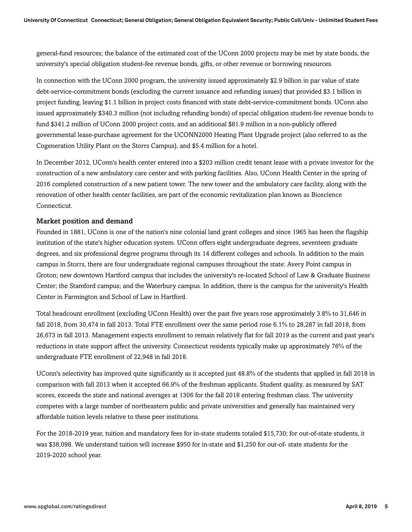general-fund resources; the balance of the estimated cost of the UConn 2000 projects may be met by state bonds, the university's special obligation student-fee revenue bonds, gifts, or other revenue or borrowing resources.

In connection with the UConn 2000 program, the university issued approximately \$2.9 billion in par value of state debt-service-commitment bonds (excluding the current issuance and refunding issues) that provided \$3.1 billion in project funding, leaving \$1.1 billion in project costs financed with state debt-service-commitment bonds. UConn also issued approximately \$340.3 million (not including refunding bonds) of special obligation student-fee revenue bonds to fund \$341.2 million of UConn 2000 project costs, and an additional \$81.9 million in a non-publicly offered governmental lease-purchase agreement for the UCONN2000 Heating Plant Upgrade project (also referred to as the Cogeneration Utility Plant on the Storrs Campus), and \$5.4 million for a hotel.

In December 2012, UConn's health center entered into a \$203 million credit tenant lease with a private investor for the construction of a new ambulatory care center and with parking facilities. Also, UConn Health Center in the spring of 2016 completed construction of a new patient tower. The new tower and the ambulatory care facility, along with the renovation of other health center facilities, are part of the economic revitalization plan known as Bioscience Connecticut.

#### Market position and demand

Founded in 1881, UConn is one of the nation's nine colonial land grant colleges and since 1965 has been the flagship institution of the state's higher education system. UConn offers eight undergraduate degrees, seventeen graduate degrees, and six professional degree programs through its 14 different colleges and schools. In addition to the main campus in Storrs, there are four undergraduate regional campuses throughout the state: Avery Point campus in Groton; new downtown Hartford campus that includes the university's re-located School of Law & Graduate Business Center; the Stamford campus; and the Waterbury campus. In addition, there is the campus for the university's Health Center in Farmington and School of Law in Hartford.

Total headcount enrollment (excluding UConn Health) over the past five years rose approximately 3.8% to 31,646 in fall 2018, from 30,474 in fall 2013. Total FTE enrollment over the same period rose 6.1% to 28,287 in fall 2018, from 26,673 in fall 2013. Management expects enrollment to remain relatively flat for fall 2019 as the current and past year's reductions in state support affect the university. Connecticut residents typically make up approximately 76% of the undergraduate FTE enrollment of 22,948 in fall 2018.

UConn's selectivity has improved quite significantly as it accepted just 48.8% of the students that applied in fall 2018 in comparison with fall 2013 when it accepted 66.9% of the freshman applicants. Student quality, as measured by SAT scores, exceeds the state and national averages at 1306 for the fall 2018 entering freshman class. The university competes with a large number of northeastern public and private universities and generally has maintained very affordable tuition levels relative to these peer institutions.

For the 2018-2019 year, tuition and mandatory fees for in-state students totaled \$15,730; for out-of-state students, it was \$38,098. We understand tuition will increase \$950 for in-state and \$1,250 for out-of- state students for the 2019-2020 school year.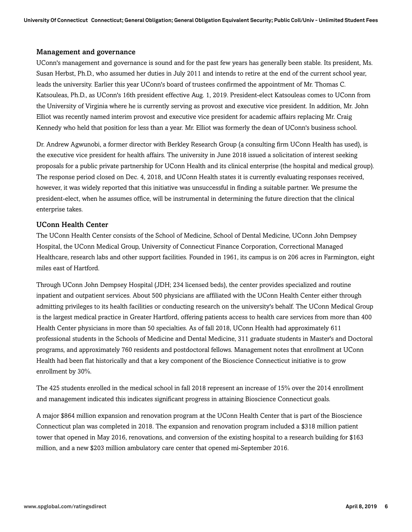#### Management and governance

UConn's management and governance is sound and for the past few years has generally been stable. Its president, Ms. Susan Herbst, Ph.D., who assumed her duties in July 2011 and intends to retire at the end of the current school year, leads the university. Earlier this year UConn's board of trustees confirmed the appointment of Mr. Thomas C. Katsouleas, Ph.D., as UConn's 16th president effective Aug. 1, 2019. President-elect Katsouleas comes to UConn from the University of Virginia where he is currently serving as provost and executive vice president. In addition, Mr. John Elliot was recently named interim provost and executive vice president for academic affairs replacing Mr. Craig Kennedy who held that position for less than a year. Mr. Elliot was formerly the dean of UConn's business school.

Dr. Andrew Agwunobi, a former director with Berkley Research Group (a consulting firm UConn Health has used), is the executive vice president for health affairs. The university in June 2018 issued a solicitation of interest seeking proposals for a public private partnership for UConn Health and its clinical enterprise (the hospital and medical group). The response period closed on Dec. 4, 2018, and UConn Health states it is currently evaluating responses received, however, it was widely reported that this initiative was unsuccessful in finding a suitable partner. We presume the president-elect, when he assumes office, will be instrumental in determining the future direction that the clinical enterprise takes.

#### UConn Health Center

The UConn Health Center consists of the School of Medicine, School of Dental Medicine, UConn John Dempsey Hospital, the UConn Medical Group, University of Connecticut Finance Corporation, Correctional Managed Healthcare, research labs and other support facilities. Founded in 1961, its campus is on 206 acres in Farmington, eight miles east of Hartford.

Through UConn John Dempsey Hospital (JDH; 234 licensed beds), the center provides specialized and routine inpatient and outpatient services. About 500 physicians are affiliated with the UConn Health Center either through admitting privileges to its health facilities or conducting research on the university's behalf. The UConn Medical Group is the largest medical practice in Greater Hartford, offering patients access to health care services from more than 400 Health Center physicians in more than 50 specialties. As of fall 2018, UConn Health had approximately 611 professional students in the Schools of Medicine and Dental Medicine, 311 graduate students in Master's and Doctoral programs, and approximately 760 residents and postdoctoral fellows. Management notes that enrollment at UConn Health had been flat historically and that a key component of the Bioscience Connecticut initiative is to grow enrollment by 30%.

The 425 students enrolled in the medical school in fall 2018 represent an increase of 15% over the 2014 enrollment and management indicated this indicates significant progress in attaining Bioscience Connecticut goals.

A major \$864 million expansion and renovation program at the UConn Health Center that is part of the Bioscience Connecticut plan was completed in 2018. The expansion and renovation program included a \$318 million patient tower that opened in May 2016, renovations, and conversion of the existing hospital to a research building for \$163 million, and a new \$203 million ambulatory care center that opened mi-September 2016.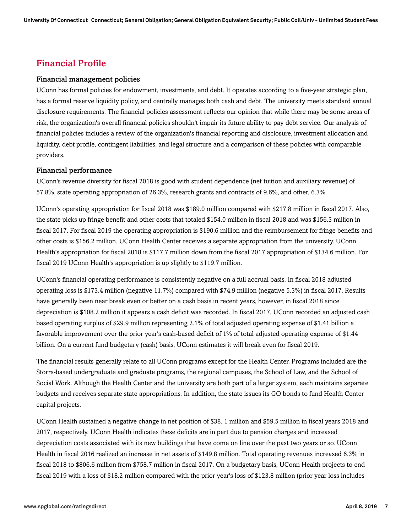## <span id="page-6-0"></span>Financial Profile

#### Financial management policies

UConn has formal policies for endowment, investments, and debt. It operates according to a five-year strategic plan, has a formal reserve liquidity policy, and centrally manages both cash and debt. The university meets standard annual disclosure requirements. The financial policies assessment reflects our opinion that while there may be some areas of risk, the organization's overall financial policies shouldn't impair its future ability to pay debt service. Our analysis of financial policies includes a review of the organization's financial reporting and disclosure, investment allocation and liquidity, debt profile, contingent liabilities, and legal structure and a comparison of these policies with comparable providers.

#### Financial performance

UConn's revenue diversity for fiscal 2018 is good with student dependence (net tuition and auxiliary revenue) of 57.8%, state operating appropriation of 26.3%, research grants and contracts of 9.6%, and other, 6.3%.

UConn's operating appropriation for fiscal 2018 was \$189.0 million compared with \$217.8 million in fiscal 2017. Also, the state picks up fringe benefit and other costs that totaled \$154.0 million in fiscal 2018 and was \$156.3 million in fiscal 2017. For fiscal 2019 the operating appropriation is \$190.6 million and the reimbursement for fringe benefits and other costs is \$156.2 million. UConn Health Center receives a separate appropriation from the university. UConn Health's appropriation for fiscal 2018 is \$117.7 million down from the fiscal 2017 appropriation of \$134.6 million. For fiscal 2019 UConn Health's appropriation is up slightly to \$119.7 million.

UConn's financial operating performance is consistently negative on a full accrual basis. In fiscal 2018 adjusted operating loss is \$173.4 million (negative 11.7%) compared with \$74.9 million (negative 5.3%) in fiscal 2017. Results have generally been near break even or better on a cash basis in recent years, however, in fiscal 2018 since depreciation is \$108.2 million it appears a cash deficit was recorded. In fiscal 2017, UConn recorded an adjusted cash based operating surplus of \$29.9 million representing 2.1% of total adjusted operating expense of \$1.41 billion a favorable improvement over the prior year's cash-based deficit of 1% of total adjusted operating expense of \$1.44 billion. On a current fund budgetary (cash) basis, UConn estimates it will break even for fiscal 2019.

The financial results generally relate to all UConn programs except for the Health Center. Programs included are the Storrs-based undergraduate and graduate programs, the regional campuses, the School of Law, and the School of Social Work. Although the Health Center and the university are both part of a larger system, each maintains separate budgets and receives separate state appropriations. In addition, the state issues its GO bonds to fund Health Center capital projects.

UConn Health sustained a negative change in net position of \$38. 1 million and \$59.5 million in fiscal years 2018 and 2017, respectively. UConn Health indicates these deficits are in part due to pension charges and increased depreciation costs associated with its new buildings that have come on line over the past two years or so. UConn Health in fiscal 2016 realized an increase in net assets of \$149.8 million. Total operating revenues increased 6.3% in fiscal 2018 to \$806.6 million from \$758.7 million in fiscal 2017. On a budgetary basis, UConn Health projects to end fiscal 2019 with a loss of \$18.2 million compared with the prior year's loss of \$123.8 million (prior year loss includes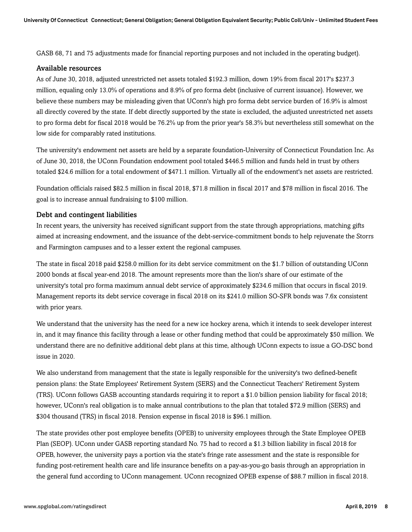GASB 68, 71 and 75 adjustments made for financial reporting purposes and not included in the operating budget).

#### Available resources

As of June 30, 2018, adjusted unrestricted net assets totaled \$192.3 million, down 19% from fiscal 2017's \$237.3 million, equaling only 13.0% of operations and 8.9% of pro forma debt (inclusive of current issuance). However, we believe these numbers may be misleading given that UConn's high pro forma debt service burden of 16.9% is almost all directly covered by the state. If debt directly supported by the state is excluded, the adjusted unrestricted net assets to pro forma debt for fiscal 2018 would be 76.2% up from the prior year's 58.3% but nevertheless still somewhat on the low side for comparably rated institutions.

The university's endowment net assets are held by a separate foundation-University of Connecticut Foundation Inc. As of June 30, 2018, the UConn Foundation endowment pool totaled \$446.5 million and funds held in trust by others totaled \$24.6 million for a total endowment of \$471.1 million. Virtually all of the endowment's net assets are restricted.

Foundation officials raised \$82.5 million in fiscal 2018, \$71.8 million in fiscal 2017 and \$78 million in fiscal 2016. The goal is to increase annual fundraising to \$100 million.

#### Debt and contingent liabilities

In recent years, the university has received significant support from the state through appropriations, matching gifts aimed at increasing endowment, and the issuance of the debt-service-commitment bonds to help rejuvenate the Storrs and Farmington campuses and to a lesser extent the regional campuses.

The state in fiscal 2018 paid \$258.0 million for its debt service commitment on the \$1.7 billion of outstanding UConn 2000 bonds at fiscal year-end 2018. The amount represents more than the lion's share of our estimate of the university's total pro forma maximum annual debt service of approximately \$234.6 million that occurs in fiscal 2019. Management reports its debt service coverage in fiscal 2018 on its \$241.0 million SO-SFR bonds was 7.6x consistent with prior years.

We understand that the university has the need for a new ice hockey arena, which it intends to seek developer interest in, and it may finance this facility through a lease or other funding method that could be approximately \$50 million. We understand there are no definitive additional debt plans at this time, although UConn expects to issue a GO-DSC bond issue in 2020.

We also understand from management that the state is legally responsible for the university's two defined-benefit pension plans: the State Employees' Retirement System (SERS) and the Connecticut Teachers' Retirement System (TRS). UConn follows GASB accounting standards requiring it to report a \$1.0 billion pension liability for fiscal 2018; however, UConn's real obligation is to make annual contributions to the plan that totaled \$72.9 million (SERS) and \$304 thousand (TRS) in fiscal 2018. Pension expense in fiscal 2018 is \$96.1 million.

The state provides other post employee benefits (OPEB) to university employees through the State Employee OPEB Plan (SEOP). UConn under GASB reporting standard No. 75 had to record a \$1.3 billion liability in fiscal 2018 for OPEB, however, the university pays a portion via the state's fringe rate assessment and the state is responsible for funding post-retirement health care and life insurance benefits on a pay-as-you-go basis through an appropriation in the general fund according to UConn management. UConn recognized OPEB expense of \$88.7 million in fiscal 2018.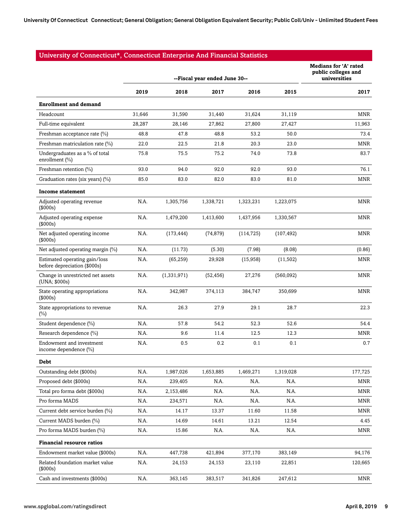#### University of Connecticut\*, Connecticut Enterprise And Financial Statistics

|                                                               | --Fiscal year ended June 30-- |             |           |            | <b>Medians for 'A' rated</b><br>public colleges and<br>universities |            |
|---------------------------------------------------------------|-------------------------------|-------------|-----------|------------|---------------------------------------------------------------------|------------|
|                                                               | 2019                          | 2018        | 2017      | 2016       | 2015                                                                | 2017       |
| <b>Enrollment and demand</b>                                  |                               |             |           |            |                                                                     |            |
| Headcount                                                     | 31,646                        | 31,590      | 31,440    | 31,624     | 31,119                                                              | MNR        |
| Full-time equivalent                                          | 28,287                        | 28,146      | 27,862    | 27,800     | 27,427                                                              | 11,963     |
| Freshman acceptance rate (%)                                  | 48.8                          | 47.8        | 48.8      | 53.2       | 50.0                                                                | 73.4       |
| Freshman matriculation rate (%)                               | 22.0                          | 22.5        | 21.8      | 20.3       | 23.0                                                                | MNR        |
| Undergraduates as a % of total<br>enrollment (%)              | 75.8                          | 75.5        | 75.2      | 74.0       | 73.8                                                                | 83.7       |
| Freshman retention (%)                                        | 93.0                          | 94.0        | 92.0      | 92.0       | 93.0                                                                | 76.1       |
| Graduation rates (six years) (%)                              | 85.0                          | 83.0        | 82.0      | 83.0       | 81.0                                                                | MNR        |
| <b>Income statement</b>                                       |                               |             |           |            |                                                                     |            |
| Adjusted operating revenue<br>(\$000s)                        | N.A.                          | 1.305.756   | 1,338,721 | 1,323,231  | 1,223,075                                                           | <b>MNR</b> |
| Adjusted operating expense<br>(\$000s)                        | N.A.                          | 1,479,200   | 1,413,600 | 1,437,956  | 1,330,567                                                           | MNR        |
| Net adjusted operating income<br>(\$000s)                     | N.A.                          | (173, 444)  | (74, 879) | (114, 725) | (107, 492)                                                          | MNR        |
| Net adjusted operating margin (%)                             | N.A.                          | (11.73)     | (5.30)    | (7.98)     | (8.08)                                                              | (0.86)     |
| Estimated operating gain/loss<br>before depreciation (\$000s) | N.A.                          | (65, 259)   | 29,928    | (15,958)   | (11,502)                                                            | MNR        |
| Change in unrestricted net assets<br>(UNA; \$000s)            | N.A.                          | (1,331,971) | (52, 456) | 27,276     | (560,092)                                                           | MNR        |
| State operating appropriations<br>(\$000s)                    | N.A.                          | 342,987     | 374,113   | 384,747    | 350,699                                                             | MNR        |
| State appropriations to revenue<br>(%)                        | N.A.                          | 26.3        | 27.9      | 29.1       | 28.7                                                                | 22.3       |
| Student dependence (%)                                        | N.A.                          | 57.8        | 54.2      | 52.3       | 52.6                                                                | 54.4       |
| Research dependence (%)                                       | N.A.                          | 9.6         | 11.4      | 12.5       | 12.3                                                                | MNR        |
| Endowment and investment<br>income dependence (%)             | N.A.                          | 0.5         | 0.2       | 0.1        | 0.1                                                                 | 0.7        |
| Debt                                                          |                               |             |           |            |                                                                     |            |
| Outstanding debt (\$000s)                                     | N.A.                          | 1,987,026   | 1,653,885 | 1,469,271  | 1,319,028                                                           | 177,725    |
| Proposed debt (\$000s)                                        | N.A.                          | 239,405     | N.A.      | N.A.       | N.A.                                                                | MNR        |
| Total pro forma debt (\$000s)                                 | N.A.                          | 2,153,486   | N.A.      | N.A.       | N.A.                                                                | MNR        |
| Pro forma MADS                                                | N.A.                          | 234,571     | N.A.      | N.A.       | N.A.                                                                | MNR        |
| Current debt service burden (%)                               | N.A.                          | 14.17       | 13.37     | 11.60      | 11.58                                                               | MNR        |
| Current MADS burden (%)                                       | N.A.                          | 14.69       | 14.61     | 13.21      | 12.54                                                               | 4.45       |
| Pro forma MADS burden (%)                                     | N.A.                          | 15.86       | N.A.      | N.A.       | N.A.                                                                | MNR        |
| <b>Financial resource ratios</b>                              |                               |             |           |            |                                                                     |            |
| Endowment market value (\$000s)                               | N.A.                          | 447,738     | 421,894   | 377,170    | 383,149                                                             | 94,176     |
| Related foundation market value<br>(\$000s)                   | N.A.                          | 24,153      | 24,153    | 23,110     | 22,851                                                              | 120,665    |
| Cash and investments (\$000s)                                 | N.A.                          | 363,145     | 383,517   | 341,826    | 247,612                                                             | MNR        |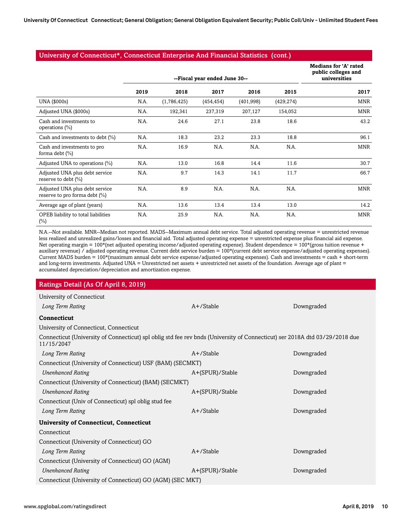#### University of Connecticut\*, Connecticut Enterprise And Financial Statistics (cont.)

|                                                                 | --Fiscal year ended June 30-- |             |            |           | <b>Medians for 'A' rated</b><br>public colleges and<br>universities |            |
|-----------------------------------------------------------------|-------------------------------|-------------|------------|-----------|---------------------------------------------------------------------|------------|
|                                                                 | 2019                          | 2018        | 2017       | 2016      | 2015                                                                | 2017       |
| UNA (\$000s)                                                    | N.A.                          | (1,786,425) | (454, 454) | (401,998) | (429, 274)                                                          | MNR        |
| Adjusted UNA (\$000s)                                           | N.A.                          | 192,341     | 237,319    | 207,127   | 154,052                                                             | <b>MNR</b> |
| Cash and investments to<br>operations $(\%)$                    | N.A.                          | 24.6        | 27.1       | 23.8      | 18.6                                                                | 43.2       |
| Cash and investments to debt (%)                                | N.A.                          | 18.3        | 23.2       | 23.3      | 18.8                                                                | 96.1       |
| Cash and investments to pro<br>forma debt $(\% )$               | N.A.                          | 16.9        | N.A.       | N.A.      | N.A.                                                                | <b>MNR</b> |
| Adjusted UNA to operations (%)                                  | N.A.                          | 13.0        | 16.8       | 14.4      | 11.6                                                                | 30.7       |
| Adjusted UNA plus debt service<br>reserve to debt (%)           | N.A.                          | 9.7         | 14.3       | 14.1      | 11.7                                                                | 66.7       |
| Adjusted UNA plus debt service<br>reserve to pro forma debt (%) | N.A.                          | 8.9         | N.A.       | N.A.      | N.A.                                                                | <b>MNR</b> |
| Average age of plant (years)                                    | N.A.                          | 13.6        | 13.4       | 13.4      | 13.0                                                                | 14.2       |
| OPEB liability to total liabilities<br>$(\%)$                   | N.A.                          | 25.9        | N.A.       | N.A.      | N.A.                                                                | <b>MNR</b> |

N.A.--Not available. MNR--Median not reported. MADS--Maximum annual debt service. Total adjusted operating revenue = unrestricted revenue less realized and unrealized gains/losses and financial aid. Total adjusted operating expense = unrestricted expense plus financial aid expense. Net operating margin =  $100*($ net adjusted operating income/adjusted operating expense). Student dependence =  $100*($ gross tuition revenue + auxiliary revenue) / adjusted operating revenue. Current debt service burden = 100\*(current debt service expense/adjusted operating expenses). Current MADS burden = 100\*(maximum annual debt service expense/adjusted operating expenses). Cash and investments = cash + short-term and long-term investments. Adjusted UNA = Unrestricted net assets + unrestricted net assets of the foundation. Average age of plant = accumulated depreciation/depreciation and amortization expense.

#### Ratings Detail (As Of April 8, 2019)

| University of Connecticut                                                                                                                 |                 |            |
|-------------------------------------------------------------------------------------------------------------------------------------------|-----------------|------------|
| Long Term Rating                                                                                                                          | $A+$ /Stable    | Downgraded |
| <b>Connecticut</b>                                                                                                                        |                 |            |
| University of Connecticut, Connecticut                                                                                                    |                 |            |
| Connecticut (University of Connecticut) spl oblig std fee rev bnds (University of Connecticut) ser 2018A dtd 03/29/2018 due<br>11/15/2047 |                 |            |
| Long Term Rating                                                                                                                          | $A+$ /Stable    | Downgraded |
| Connecticut (University of Connecticut) USF (BAM) (SECMKT)                                                                                |                 |            |
| <b>Unenhanced Rating</b>                                                                                                                  | A+(SPUR)/Stable | Downgraded |
| Connecticut (University of Connecticut) (BAM) (SECMKT)                                                                                    |                 |            |
| <b>Unenhanced Rating</b>                                                                                                                  | A+(SPUR)/Stable | Downgraded |
| Connecticut (Univ of Connecticut) spl oblig stud fee                                                                                      |                 |            |
| Long Term Rating                                                                                                                          | $A+$ /Stable    | Downgraded |
| <b>University of Connecticut, Connecticut</b>                                                                                             |                 |            |
| Connecticut                                                                                                                               |                 |            |
| Connecticut (University of Connecticut) GO                                                                                                |                 |            |
| Long Term Rating                                                                                                                          | $A+$ /Stable    | Downgraded |
| Connecticut (University of Connecticut) GO (AGM)                                                                                          |                 |            |
| <b>Unenhanced Rating</b>                                                                                                                  | A+(SPUR)/Stable | Downgraded |
| Connecticut (University of Connecticut) GO (AGM) (SEC MKT)                                                                                |                 |            |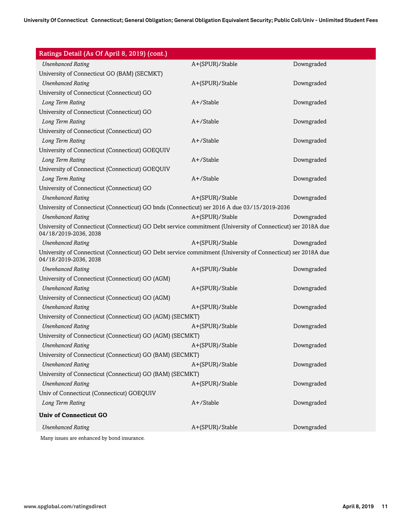| Ratings Detail (As Of April 8, 2019) (cont.)                                                                                          |                 |            |
|---------------------------------------------------------------------------------------------------------------------------------------|-----------------|------------|
| <b>Unenhanced Rating</b>                                                                                                              | A+(SPUR)/Stable | Downgraded |
| University of Connecticut GO (BAM) (SECMKT)                                                                                           |                 |            |
| <b>Unenhanced Rating</b>                                                                                                              | A+(SPUR)/Stable | Downgraded |
| University of Connecticut (Connecticut) GO                                                                                            |                 |            |
| Long Term Rating                                                                                                                      | A+/Stable       | Downgraded |
| University of Connecticut (Connecticut) GO                                                                                            |                 |            |
| Long Term Rating                                                                                                                      | A+/Stable       | Downgraded |
| University of Connecticut (Connecticut) GO                                                                                            |                 |            |
| Long Term Rating                                                                                                                      | A+/Stable       | Downgraded |
| University of Connecticut (Connecticut) GOEQUIV                                                                                       |                 |            |
| Long Term Rating                                                                                                                      | A+/Stable       | Downgraded |
| University of Connecticut (Connecticut) GOEQUIV                                                                                       |                 |            |
| Long Term Rating                                                                                                                      | $A+$ /Stable    | Downgraded |
| University of Connecticut (Connecticut) GO                                                                                            |                 |            |
| <b>Unenhanced Rating</b>                                                                                                              | A+(SPUR)/Stable | Downgraded |
| University of Connecticut (Connecticut) GO bnds (Connecticut) ser 2016 A due 03/15/2019-2036                                          |                 |            |
| <b>Unenhanced Rating</b>                                                                                                              | A+(SPUR)/Stable | Downgraded |
| University of Connecticut (Connecticut) GO Debt service commitment (University of Connecticut) ser 2018A due<br>04/18/2019-2036, 2038 |                 |            |
| <b>Unenhanced Rating</b>                                                                                                              | A+(SPUR)/Stable | Downgraded |
| University of Connecticut (Connecticut) GO Debt service commitment (University of Connecticut) ser 2018A due<br>04/18/2019-2036, 2038 |                 |            |
| <b>Unenhanced Rating</b>                                                                                                              | A+(SPUR)/Stable | Downgraded |
| University of Connecticut (Connecticut) GO (AGM)                                                                                      |                 |            |
| <b>Unenhanced Rating</b>                                                                                                              | A+(SPUR)/Stable | Downgraded |
| University of Connecticut (Connecticut) GO (AGM)                                                                                      |                 |            |
| <b>Unenhanced Rating</b>                                                                                                              | A+(SPUR)/Stable | Downgraded |
| University of Connecticut (Connecticut) GO (AGM) (SECMKT)                                                                             |                 |            |
| <b>Unenhanced Rating</b>                                                                                                              | A+(SPUR)/Stable | Downgraded |
| University of Connecticut (Connecticut) GO (AGM) (SECMKT)                                                                             |                 |            |
| <b>Unenhanced Rating</b>                                                                                                              | A+(SPUR)/Stable | Downgraded |
| University of Connecticut (Connecticut) GO (BAM) (SECMKT)                                                                             |                 |            |
| <b>Unenhanced Rating</b>                                                                                                              | A+(SPUR)/Stable | Downgraded |
| University of Connecticut (Connecticut) GO (BAM) (SECMKT)                                                                             |                 |            |
| <b>Unenhanced Rating</b>                                                                                                              | A+(SPUR)/Stable | Downgraded |
| Univ of Connecticut (Connecticut) GOEQUIV                                                                                             |                 |            |
| Long Term Rating                                                                                                                      | A+/Stable       | Downgraded |
| <b>Univ of Connecticut GO</b>                                                                                                         |                 |            |
| <b>Unenhanced Rating</b>                                                                                                              | A+(SPUR)/Stable | Downgraded |
| Many issues are enhanced by bond insurance.                                                                                           |                 |            |